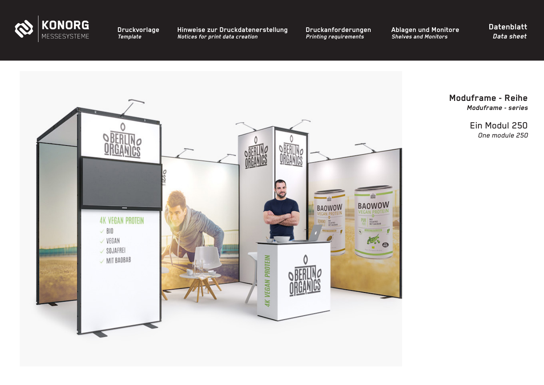

**[Hinweise zur Druckdatenerstellung](#page-2-0)** *Notices for print data creation*

**[Druckanforderungen](#page-3-0)** *Printing requirements*

**[Ablagen und Monitore](#page-4-0)** *Shelves and Monitors*

**Datenblatt** *Data sheet*



**Moduframe - Reihe** *Moduframe - series*

> Ein Modul 250 *One module 250*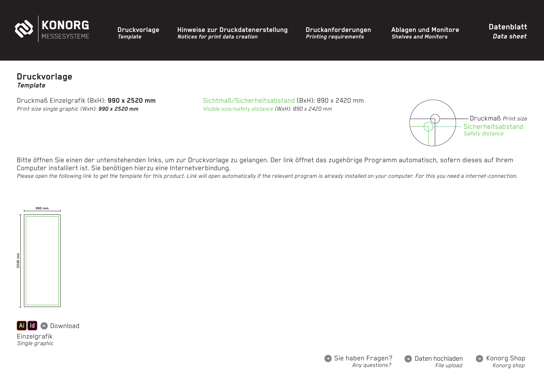<span id="page-1-0"></span>

**[Hinweise zur Druckdatenerstellung](#page-2-0)** *Notices for print data creation*

**[Druckanforderungen](#page-3-0)** *Printing requirements*

**[Ablagen und Monitore](#page-4-0)** *Shelves and Monitors*

**Datenblatt** *Data sheet*

## **Druckvorlage** *Template*

*Print size single graphic (WxH): 990 x 2520 mm Visible size/safety distance (WxH): 890 x 2420 mm*

Druckmaß Einzelgrafik (BxH): **990 x 2520 mm** Sichtmaß/Sicherheitsabstand (BxH): 890 x 2420 mm



Bitte öffnen Sie einen der untenstehenden links, um zur Druckvorlage zu gelangen. Der link öffnet das zugehörige Programm automatisch, sofern dieses auf Ihrem Computer installiert ist. Sie benötigen hierzu eine Internetverbindung.

Please open the following link to get the template for this product. Link will open automatically if the relevant program is already installed on your computer. For this you need a internet-connection.





Einzelgrafik *Single graphic*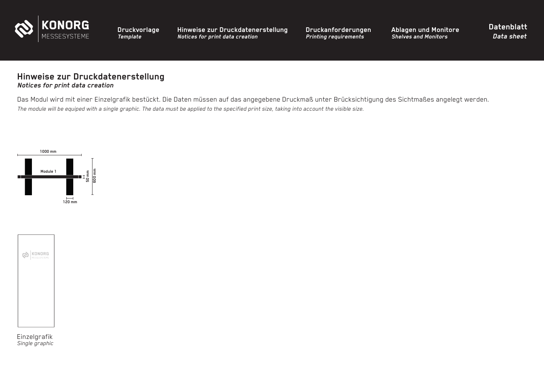<span id="page-2-0"></span>

**Hinweise zur Druckdatenerstellung** *Notices for print data creation*

**[Druckanforderungen](#page-3-0)** *Printing requirements*

**[Ablagen und Monitore](#page-4-0)** *Shelves and Monitors*

**Datenblatt** *Data sheet*

## **Hinweise zur Druckdatenerstellung** *Notices for print data creation*

Das Modul wird mit einer Einzelgrafik bestückt. Die Daten müssen auf das angegebene Druckmaß unter Brücksichtigung des Sichtmaßes angelegt werden. *The module will be equiped with a single graphic. The data must be applied to the specified print size, taking into account the visible size.* 





Einzelgrafik *Single graphic*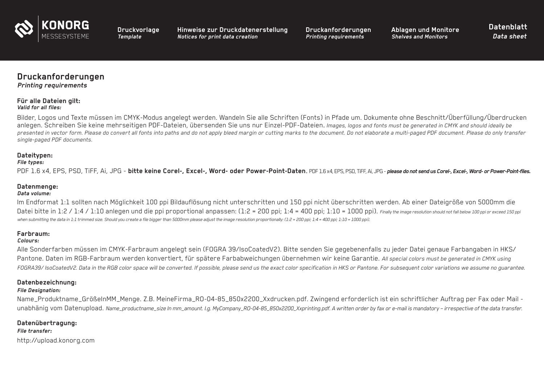<span id="page-3-0"></span>

**[Hinweise zur Druckdatenerstellung](#page-2-0)** *Notices for print data creation*

**Druckanforderungen** *Printing requirements*

**[Ablagen und Monitore](#page-4-0)** *Shelves and Monitors*

**Datenblatt** *Data sheet*

# **Druckanforderungen**

#### *Printing requirements*

#### **Für alle Dateien gilt:** *Valid for all files:*

Bilder, Logos und Texte müssen im CMYK-Modus angelegt werden. Wandeln Sie alle Schriften (Fonts) in Pfade um. Dokumente ohne Beschnitt/Überfüllung/Überdrucken anlegen. Schreiben Sie keine mehrseitigen PDF-Dateien, übersenden Sie uns nur Einzel-PDF-Dateien. *Images, logos and fonts must be generated in CMYK and should ideally be presented in vector form. Please do convert all fonts into paths and do not apply bleed margin or cutting marks to the document. Do not elaborate a multi-paged PDF document. Please do only transfer single-paged PDF documents.* 

### **Dateitypen:**

#### *File types:*

PDF 1.6 x4, EPS, PSD, TiFF, Ai, JPG - **bitte keine Corel-, Excel-, Word- oder Power-Point-Daten**. PDF 1.6 x4, EPS, PSD, TiFF, Ai, JPG - *please do not send us Corel-, Excel-, Word- or Power-Point-files.*

## **Datenmenge:**

#### *Data volume:*

Im Endformat 1:1 sollten nach Möglichkeit 100 ppi Bildauflösung nicht unterschritten und 150 ppi nicht überschritten werden. Ab einer Dateigröße von 5000mm die Datei bitte in 1:2 / 1:4 / 1:10 anlegen und die ppi proportional anpassen: (1:2 = 200 ppi; 1:4 = 400 ppi; 1:10 = 1000 ppi). *Finally the image resolution should not fall below 100 ppi or exceed 150 ppi* when submitting the data in 1:1 trimmed size. Should you create a file bigger than 5000mm please adjust the image resolution proportionally: (1:2 = 200 ppi; 1:4 = 400 ppi; 1:10 = 1000 ppi).

### **Farbraum:**

#### *Colours:*

Alle Sonderfarben müssen im CMYK-Farbraum angelegt sein (FOGRA 39/IsoCoatedV2). Bitte senden Sie gegebenenfalls zu jeder Datei genaue Farbangaben in HKS/ Pantone. Daten im RGB-Farbraum werden konvertiert, für spätere Farbabweichungen übernehmen wir keine Garantie. *All special colors must be generated in CMYK using FOGRA39/ IsoCoatedV2. Data in the RGB color space will be converted. If possible, please send us the exact color specification in HKS or Pantone. For subsequent color variations we assume no guarantee.*

### **Datenbezeichnung:**

#### *File Designation:*

Name\_Produktname\_GrößeInMM\_Menge. Z.B. MeineFirma\_RO-04-85\_850x2200\_Xxdrucken.pdf. Zwingend erforderlich ist ein schriftlicher Auftrag per Fax oder Mail unabhänig vom Datenupload. *Name\_productname\_size In mm\_amount. I.g. MyCompany\_RO-04-85\_850x2200\_Xxprinting.pdf. A written order by fax or e-mail is mandatory – irrespective of the data transfer.*

### **Datenübertragung:**

*File transfer:* http://upload.konorg.com